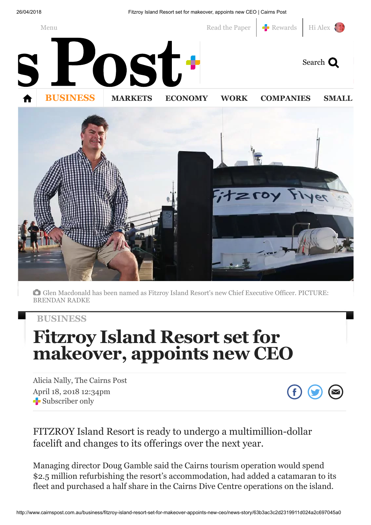26/04/2018 Fitzroy Island Resort set for makeover, appoints new CEO | Cairns Post



Glen Macdonald has been named as Fitzroy Island Resort's new Chief Executive Officer. PICTURE: BRENDAN RADKE

### **[BUSINESS](http://www.cairnspost.com.au/business/)**

# Fitzroy Island Resort set for makeover, appoints new CEO

Alicia Nally, The Cairns Post April 18, 2018 12:34pm Subscriber only



## FITZROY Island Resort is ready to undergo a multimillion-dollar facelift and changes to its offerings over the next year.

Managing director Doug Gamble said the Cairns tourism operation would spend \$2.5 million refurbishing the resort's accommodation, had added a catamaran to its fleet and purchased a half share in the Cairns Dive Centre operations on the island.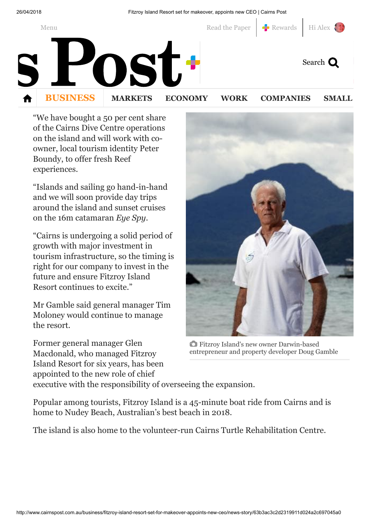26/04/2018 Fitzroy Island Resort set for makeover, appoints new CEO | Cairns Post



"We have bought a 50 per cent share of the Cairns Dive Centre operations on the island and will work with coowner, local tourism identity Peter Boundy, to offer fresh Reef experiences.

"Islands and sailing go hand-in-hand and we will soon provide day trips around the island and sunset cruises on the 16m catamaran *Eye Spy*.

"Cairns is undergoing a solid period of growth with major investment in tourism infrastructure, so the timing is right for our company to invest in the future and ensure Fitzroy Island Resort continues to excite."

Mr Gamble said general manager Tim Moloney would continue to manage the resort.

Former general manager Glen Macdonald, who managed Fitzroy Island Resort for six years, has been appointed to the new role of chief



Fitzroy Island's new owner Darwin-based entrepreneur and property developer Doug Gamble

executive with the responsibility of overseeing the expansion.

Popular among tourists, Fitzroy Island is a 45-minute boat ride from Cairns and is home to Nudey Beach, Australian's best beach in 2018.

The island is also home to the volunteer-run Cairns Turtle Rehabilitation Centre.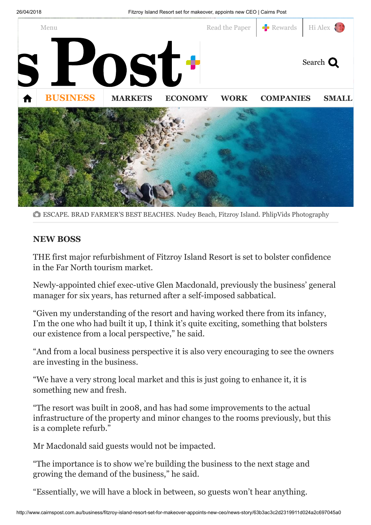

ESCAPE. BRAD FARMER'S BEST BEACHES. Nudey Beach, Fitzroy Island. PhlipVids Photography

### NEW BOSS

THE first major refurbishment of Fitzroy Island Resort is set to bolster confidence in the Far North tourism market.

Newly-appointed chief exec-utive Glen Macdonald, previously the business' general manager for six years, has returned after a self-imposed sabbatical.

"Given my understanding of the resort and having worked there from its infancy, I'm the one who had built it up, I think it's quite exciting, something that bolsters our existence from a local perspective," he said.

"And from a local business perspective it is also very encouraging to see the owners are investing in the business.

"We have a very strong local market and this is just going to enhance it, it is something new and fresh.

"The resort was built in 2008, and has had some improvements to the actual infrastructure of the property and minor changes to the rooms previously, but this is a complete refurb."

Mr Macdonald said guests would not be impacted.

"The importance is to show we're building the business to the next stage and growing the demand of the business," he said.

"Essentially, we will have a block in between, so guests won't hear anything.